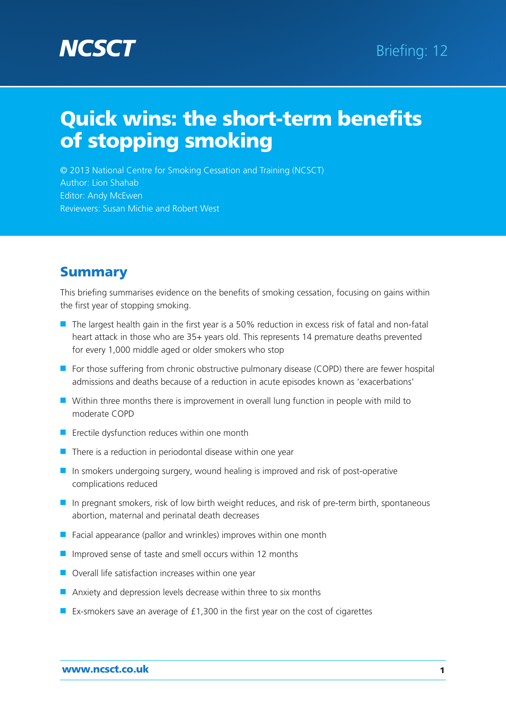

© 2013 National Centre for Smoking Cessation and Training (NCSCT) Author: Lion Shahab Editor: Andy McEwen Reviewers: Susan Michie and Robert West

# **Summary**

This briefing summarises evidence on the benefits of smoking cessation, focusing on gains within the first year of stopping smoking.

- The largest health gain in the first year is a 50% reduction in excess risk of fatal and non-fatal heart attack in those who are 35+ years old. This represents 14 premature deaths prevented for every 1,000 middle aged or older smokers who stop
- For those suffering from chronic obstructive pulmonary disease (COPD) there are fewer hospital admissions and deaths because of a reduction in acute episodes known as 'exacerbations'
- Within three months there is improvement in overall lung function in people with mild to moderate COPD
- Erectile dysfunction reduces within one month
- $\blacksquare$  There is a reduction in periodontal disease within one year
- In smokers undergoing surgery, wound healing is improved and risk of post-operative complications reduced
- In pregnant smokers, risk of low birth weight reduces, and risk of pre-term birth, spontaneous abortion, maternal and perinatal death decreases
- $\blacksquare$  Facial appearance (pallor and wrinkles) improves within one month
- Improved sense of taste and smell occurs within 12 months
- Overall life satisfaction increases within one year
- Anxiety and depression levels decrease within three to six months
- Ex-smokers save an average of £1,300 in the first year on the cost of cigarettes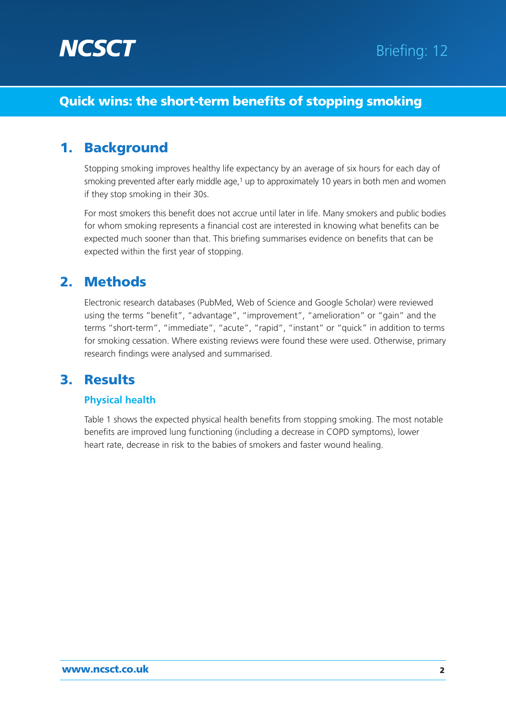

# 1. Background

Stopping smoking improves healthy life expectancy by an average of six hours for each day of smoking prevented after early middle age, $1$  up to approximately 10 years in both men and women if they stop smoking in their 30s.

For most smokers this benefit does not accrue until later in life. Many smokers and public bodies for whom smoking represents a financial cost are interested in knowing what benefits can be expected much sooner than that. This briefing summarises evidence on benefits that can be expected within the first year of stopping.

# 2. Methods

Electronic research databases (PubMed, Web of Science and Google Scholar) were reviewed using the terms "benefit", "advantage", "improvement", "amelioration" or "gain" and the terms "short-term", "immediate", "acute", "rapid", "instant" or "quick" in addition to terms for smoking cessation. Where existing reviews were found these were used. Otherwise, primary research findings were analysed and summarised.

# 3. Results

#### **Physical health**

Table 1 shows the expected physical health benefits from stopping smoking. The most notable benefits are improved lung functioning (including a decrease in COPD symptoms), lower heart rate, decrease in risk to the babies of smokers and faster wound healing.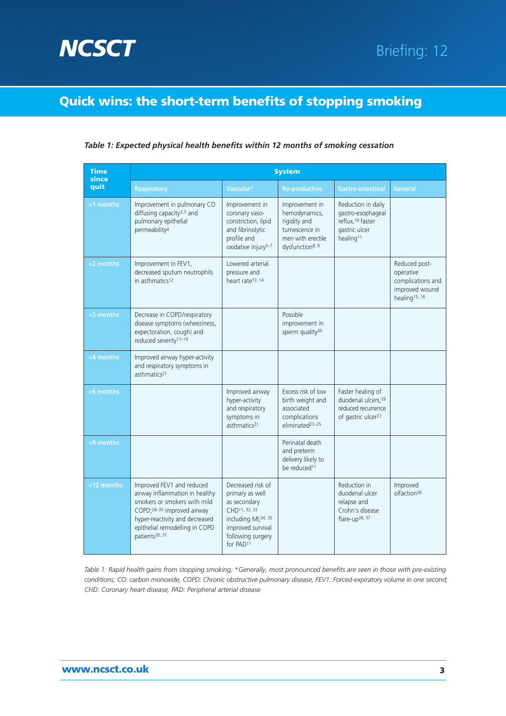

#### *Table 1: Expected physical health benefits within 12 months of smoking cessation*

| <b>Time</b><br>since<br>quit | <b>System</b>                                                                                                                                                                                                               |                                                                                                                                                                             |                                                                                                                      |                                                                                                             |                                                                                                |
|------------------------------|-----------------------------------------------------------------------------------------------------------------------------------------------------------------------------------------------------------------------------|-----------------------------------------------------------------------------------------------------------------------------------------------------------------------------|----------------------------------------------------------------------------------------------------------------------|-------------------------------------------------------------------------------------------------------------|------------------------------------------------------------------------------------------------|
|                              | <b>Respiratory</b>                                                                                                                                                                                                          | Vascular*                                                                                                                                                                   | <b>Re-productive</b>                                                                                                 | Gastro-intestinal                                                                                           | <b>General</b>                                                                                 |
| <1 months                    | Improvement in pulmonary CO<br>diffusing capacity <sup>2,3</sup> and<br>pulmonary epithelial<br>permeability <sup>4</sup>                                                                                                   | Improvement in<br>coronary vaso-<br>constriction, lipid<br>and fibrinolytic<br>profile and<br>oxidative injury <sup>5-7</sup>                                               | Improvement in<br>hemodynamics,<br>rigidity and<br>tumescence in<br>men with erectile<br>dysfunction <sup>8, 9</sup> | Reduction in daily<br>gastro-esophageal<br>reflux, 10 faster<br>gastric ulcer<br>healing <sup>11</sup>      |                                                                                                |
| <2 months                    | Improvement in FEV1,<br>decreased sputum neutrophils<br>in asthmatics <sup>12</sup>                                                                                                                                         | Lowered arterial<br>pressure and<br>heart rate <sup>13, 14</sup>                                                                                                            |                                                                                                                      |                                                                                                             | Reduced post-<br>operative<br>complications and<br>improved wound<br>healing <sup>15, 16</sup> |
| <3 months                    | Decrease in COPD/respiratory<br>disease symptoms (wheeziness,<br>expectoration, cough) and<br>reduced severity <sup>17-19</sup>                                                                                             |                                                                                                                                                                             | Possible<br>improvement in<br>sperm quality <sup>20</sup>                                                            |                                                                                                             |                                                                                                |
| <4 months                    | Improved airway hyper-activity<br>and respiratory symptoms in<br>asthmatics <sup>21</sup>                                                                                                                                   |                                                                                                                                                                             |                                                                                                                      |                                                                                                             |                                                                                                |
| <6 months                    |                                                                                                                                                                                                                             | Improved airway<br>hyper-activity<br>and respiratory<br>symptoms in<br>asthmatics <sup>21</sup>                                                                             | Excess risk of low<br>birth weight and<br>associated<br>complications<br>eliminated <sup>23-25</sup>                 | Faster healing of<br>duodenal ulcers. <sup>26</sup><br>reduced recurrence<br>of gastric ulcer <sup>27</sup> |                                                                                                |
| <9 months                    |                                                                                                                                                                                                                             |                                                                                                                                                                             | Perinatal death<br>and preterm<br>delivery likely to<br>be reduced <sup>11</sup>                                     |                                                                                                             |                                                                                                |
| <12 months                   | Improved FEV1 and reduced<br>airway inflammation in healthy<br>smokers or smokers with mild<br>COPD;28-30 improved airway<br>hyper-reactivity and decreased<br>epithelial remodelling in COPD<br>patients <sup>30, 31</sup> | Decreased risk of<br>primary as well<br>as secondary<br>CHD11, 32, 33<br>including MI; <sup>34, 35</sup><br>improved survival<br>following surgery<br>for PAD <sup>11</sup> |                                                                                                                      | Reduction in<br>duodenal ulcer<br>relapse and<br>Crohn's disease<br>flare-up <sup>36, 37</sup>              | Improved<br>olfaction <sup>38</sup>                                                            |

*Table 1: Rapid health gains from stopping smoking; \*Generally, most pronounced benefits are seen in those with pre-existing conditions; CO: carbon monoxide, COPD: Chronic obstructive pulmonary disease, FEV1: Forced-expiratory volume in one second; CHD: Coronary heart disease, PAD: Peripheral arterial disease*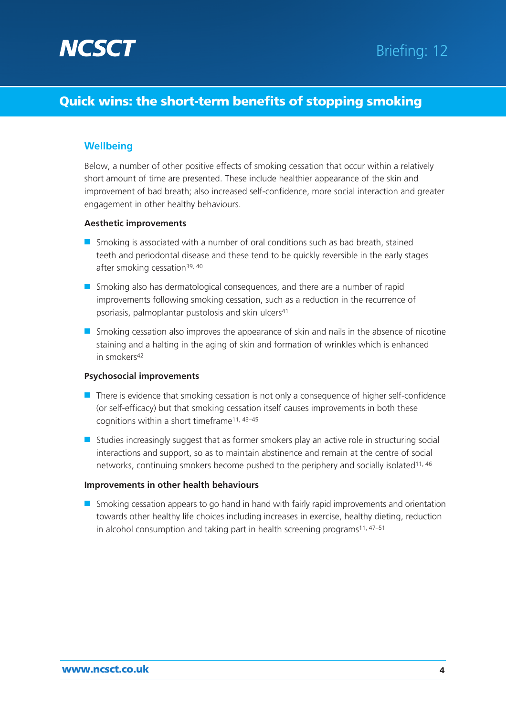

#### **Wellbeing**

Below, a number of other positive effects of smoking cessation that occur within a relatively short amount of time are presented. These include healthier appearance of the skin and improvement of bad breath; also increased self-confidence, more social interaction and greater engagement in other healthy behaviours.

#### **Aesthetic improvements**

- Smoking is associated with a number of oral conditions such as bad breath, stained teeth and periodontal disease and these tend to be quickly reversible in the early stages after smoking cessation<sup>39, 40</sup>
- Smoking also has dermatological consequences, and there are a number of rapid improvements following smoking cessation, such as a reduction in the recurrence of psoriasis, palmoplantar pustolosis and skin ulcers41
- Smoking cessation also improves the appearance of skin and nails in the absence of nicotine staining and a halting in the aging of skin and formation of wrinkles which is enhanced in smokers<sup>42</sup>

#### **Psychosocial improvements**

- There is evidence that smoking cessation is not only a consequence of higher self-confidence (or self-efficacy) but that smoking cessation itself causes improvements in both these cognitions within a short timeframe11, 43–45
- Studies increasingly suggest that as former smokers play an active role in structuring social interactions and support, so as to maintain abstinence and remain at the centre of social networks, continuing smokers become pushed to the periphery and socially isolated<sup>11, 46</sup>

#### **Improvements in other health behaviours**

■ Smoking cessation appears to go hand in hand with fairly rapid improvements and orientation towards other healthy life choices including increases in exercise, healthy dieting, reduction in alcohol consumption and taking part in health screening programs<sup>11, 47-51</sup>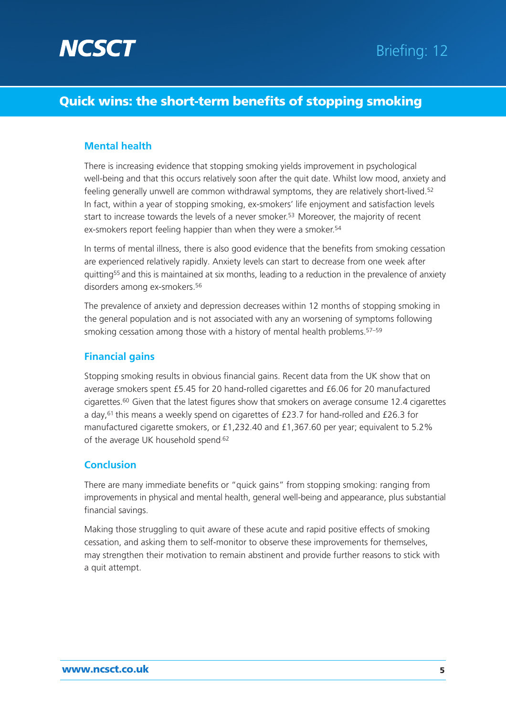

#### **Mental health**

There is increasing evidence that stopping smoking yields improvement in psychological well-being and that this occurs relatively soon after the quit date. Whilst low mood, anxiety and feeling generally unwell are common withdrawal symptoms, they are relatively short-lived.52 In fact, within a year of stopping smoking, ex-smokers' life enjoyment and satisfaction levels start to increase towards the levels of a never smoker.<sup>53</sup> Moreover, the majority of recent ex-smokers report feeling happier than when they were a smoker.<sup>54</sup>

In terms of mental illness, there is also good evidence that the benefits from smoking cessation are experienced relatively rapidly. Anxiety levels can start to decrease from one week after quitting55 and this is maintained at six months, leading to a reduction in the prevalence of anxiety disorders among ex-smokers.56

The prevalence of anxiety and depression decreases within 12 months of stopping smoking in the general population and is not associated with any an worsening of symptoms following smoking cessation among those with a history of mental health problems.<sup>57-59</sup>

#### **Financial gains**

Stopping smoking results in obvious financial gains. Recent data from the UK show that on average smokers spent £5.45 for 20 hand-rolled cigarettes and £6.06 for 20 manufactured cigarettes.<sup>60</sup> Given that the latest figures show that smokers on average consume 12.4 cigarettes a day,61 this means a weekly spend on cigarettes of £23.7 for hand-rolled and £26.3 for manufactured cigarette smokers, or £1,232.40 and £1,367.60 per year; equivalent to 5.2% of the average UK household spend.62

#### **Conclusion**

There are many immediate benefits or "quick gains" from stopping smoking: ranging from improvements in physical and mental health, general well-being and appearance, plus substantial financial savings.

Making those struggling to quit aware of these acute and rapid positive effects of smoking cessation, and asking them to self-monitor to observe these improvements for themselves, may strengthen their motivation to remain abstinent and provide further reasons to stick with a quit attempt.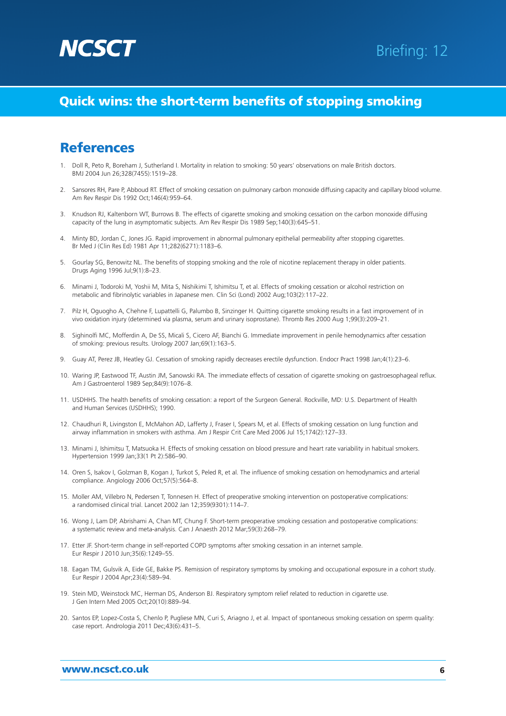

# **References**

- 1. Doll R, Peto R, Boreham J, Sutherland I. Mortality in relation to smoking: 50 years' observations on male British doctors. BMJ 2004 Jun 26;328(7455):1519–28.
- 2. Sansores RH, Pare P, Abboud RT. Effect of smoking cessation on pulmonary carbon monoxide diffusing capacity and capillary blood volume. Am Rev Respir Dis 1992 Oct;146(4):959–64.
- 3. Knudson RJ, Kaltenborn WT, Burrows B. The effects of cigarette smoking and smoking cessation on the carbon monoxide diffusing capacity of the lung in asymptomatic subjects. Am Rev Respir Dis 1989 Sep;140(3):645–51.
- 4. Minty BD, Jordan C, Jones JG. Rapid improvement in abnormal pulmonary epithelial permeability after stopping cigarettes. Br Med J (Clin Res Ed) 1981 Apr 11;282(6271):1183–6.
- 5. Gourlay SG, Benowitz NL. The benefits of stopping smoking and the role of nicotine replacement therapy in older patients. Drugs Aging 1996 Jul;9(1):8–23.
- 6. Minami J, Todoroki M, Yoshii M, Mita S, Nishikimi T, Ishimitsu T, et al. Effects of smoking cessation or alcohol restriction on metabolic and fibrinolytic variables in Japanese men. Clin Sci (Lond) 2002 Aug;103(2):117–22.
- 7. Pilz H, Oguogho A, Chehne F, Lupattelli G, Palumbo B, Sinzinger H. Quitting cigarette smoking results in a fast improvement of in vivo oxidation injury (determined via plasma, serum and urinary isoprostane). Thromb Res 2000 Aug 1;99(3):209–21.
- 8. Sighinolfi MC, Mofferdin A, De SS, Micali S, Cicero AF, Bianchi G. Immediate improvement in penile hemodynamics after cessation of smoking: previous results. Urology 2007 Jan;69(1):163–5.
- 9. Guay AT, Perez JB, Heatley GJ. Cessation of smoking rapidly decreases erectile dysfunction. Endocr Pract 1998 Jan;4(1):23–6.
- 10. Waring JP, Eastwood TF, Austin JM, Sanowski RA. The immediate effects of cessation of cigarette smoking on gastroesophageal reflux. Am J Gastroenterol 1989 Sep;84(9):1076–8.
- 11. USDHHS. The health benefits of smoking cessation: a report of the Surgeon General. Rockville, MD: U.S. Department of Health and Human Services (USDHHS); 1990.
- 12. Chaudhuri R, Livingston E, McMahon AD, Lafferty J, Fraser I, Spears M, et al. Effects of smoking cessation on lung function and airway inflammation in smokers with asthma. Am J Respir Crit Care Med 2006 Jul 15;174(2):127–33.
- 13. Minami J, Ishimitsu T, Matsuoka H. Effects of smoking cessation on blood pressure and heart rate variability in habitual smokers. Hypertension 1999 Jan;33(1 Pt 2):586–90.
- 14. Oren S, Isakov I, Golzman B, Kogan J, Turkot S, Peled R, et al. The influence of smoking cessation on hemodynamics and arterial compliance. Angiology 2006 Oct;57(5):564–8.
- 15. Moller AM, Villebro N, Pedersen T, Tonnesen H. Effect of preoperative smoking intervention on postoperative complications: a randomised clinical trial. Lancet 2002 Jan 12;359(9301):114–7.
- 16. Wong J, Lam DP, Abrishami A, Chan MT, Chung F. Short-term preoperative smoking cessation and postoperative complications: a systematic review and meta-analysis. Can J Anaesth 2012 Mar;59(3):268–79.
- 17. Etter JF. Short-term change in self-reported COPD symptoms after smoking cessation in an internet sample. Eur Respir J 2010 Jun;35(6):1249–55.
- 18. Eagan TM, Gulsvik A, Eide GE, Bakke PS. Remission of respiratory symptoms by smoking and occupational exposure in a cohort study. Eur Respir J 2004 Apr;23(4):589–94.
- 19. Stein MD, Weinstock MC, Herman DS, Anderson BJ. Respiratory symptom relief related to reduction in cigarette use. J Gen Intern Med 2005 Oct;20(10):889–94.
- 20. Santos EP, Lopez-Costa S, Chenlo P, Pugliese MN, Curi S, Ariagno J, et al. Impact of spontaneous smoking cessation on sperm quality: case report. Andrologia 2011 Dec;43(6):431–5.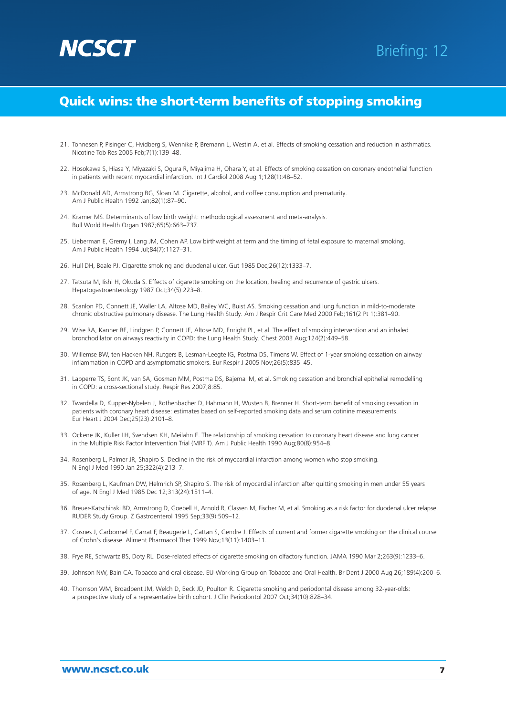

- 21. Tonnesen P, Pisinger C, Hvidberg S, Wennike P, Bremann L, Westin A, et al. Effects of smoking cessation and reduction in asthmatics. Nicotine Tob Res 2005 Feb;7(1):139–48.
- 22. Hosokawa S, Hiasa Y, Miyazaki S, Ogura R, Miyajima H, Ohara Y, et al. Effects of smoking cessation on coronary endothelial function in patients with recent myocardial infarction. Int J Cardiol 2008 Aug 1;128(1):48–52.
- 23. McDonald AD, Armstrong BG, Sloan M. Cigarette, alcohol, and coffee consumption and prematurity. Am J Public Health 1992 Jan;82(1):87–90.
- 24. Kramer MS. Determinants of low birth weight: methodological assessment and meta-analysis. Bull World Health Organ 1987;65(5):663–737.
- 25. Lieberman E, Gremy I, Lang JM, Cohen AP. Low birthweight at term and the timing of fetal exposure to maternal smoking. Am J Public Health 1994 Jul;84(7):1127–31.
- 26. Hull DH, Beale PJ. Cigarette smoking and duodenal ulcer. Gut 1985 Dec;26(12):1333–7.
- 27. Tatsuta M, Iishi H, Okuda S. Effects of cigarette smoking on the location, healing and recurrence of gastric ulcers. Hepatogastroenterology 1987 Oct;34(5):223–8.
- 28. Scanlon PD, Connett JE, Waller LA, Altose MD, Bailey WC, Buist AS. Smoking cessation and lung function in mild-to-moderate chronic obstructive pulmonary disease. The Lung Health Study. Am J Respir Crit Care Med 2000 Feb;161(2 Pt 1):381–90.
- 29. Wise RA, Kanner RE, Lindgren P, Connett JE, Altose MD, Enright PL, et al. The effect of smoking intervention and an inhaled bronchodilator on airways reactivity in COPD: the Lung Health Study. Chest 2003 Aug;124(2):449–58.
- 30. Willemse BW, ten Hacken NH, Rutgers B, Lesman-Leegte IG, Postma DS, Timens W. Effect of 1-year smoking cessation on airway inflammation in COPD and asymptomatic smokers. Eur Respir J 2005 Nov;26(5):835–45.
- 31. Lapperre TS, Sont JK, van SA, Gosman MM, Postma DS, Bajema IM, et al. Smoking cessation and bronchial epithelial remodelling in COPD: a cross-sectional study. Respir Res 2007;8:85.
- 32. Twardella D, Kupper-Nybelen J, Rothenbacher D, Hahmann H, Wusten B, Brenner H. Short-term benefit of smoking cessation in patients with coronary heart disease: estimates based on self-reported smoking data and serum cotinine measurements. Eur Heart J 2004 Dec;25(23):2101–8.
- 33. Ockene JK, Kuller LH, Svendsen KH, Meilahn E. The relationship of smoking cessation to coronary heart disease and lung cancer in the Multiple Risk Factor Intervention Trial (MRFIT). Am J Public Health 1990 Aug;80(8):954–8.
- 34. Rosenberg L, Palmer JR, Shapiro S. Decline in the risk of myocardial infarction among women who stop smoking. N Engl J Med 1990 Jan 25;322(4):213–7.
- 35. Rosenberg L, Kaufman DW, Helmrich SP, Shapiro S. The risk of myocardial infarction after quitting smoking in men under 55 years of age. N Engl J Med 1985 Dec 12;313(24):1511–4.
- 36. Breuer-Katschinski BD, Armstrong D, Goebell H, Arnold R, Classen M, Fischer M, et al. Smoking as a risk factor for duodenal ulcer relapse. RUDER Study Group. Z Gastroenterol 1995 Sep;33(9):509–12.
- 37. Cosnes J, Carbonnel F, Carrat F, Beaugerie L, Cattan S, Gendre J. Effects of current and former cigarette smoking on the clinical course of Crohn's disease. Aliment Pharmacol Ther 1999 Nov;13(11):1403–11.
- 38. Frye RE, Schwartz BS, Doty RL. Dose-related effects of cigarette smoking on olfactory function. JAMA 1990 Mar 2;263(9):1233–6.
- 39. Johnson NW, Bain CA. Tobacco and oral disease. EU-Working Group on Tobacco and Oral Health. Br Dent J 2000 Aug 26;189(4):200–6.
- 40. Thomson WM, Broadbent JM, Welch D, Beck JD, Poulton R. Cigarette smoking and periodontal disease among 32-year-olds: a prospective study of a representative birth cohort. J Clin Periodontol 2007 Oct;34(10):828–34.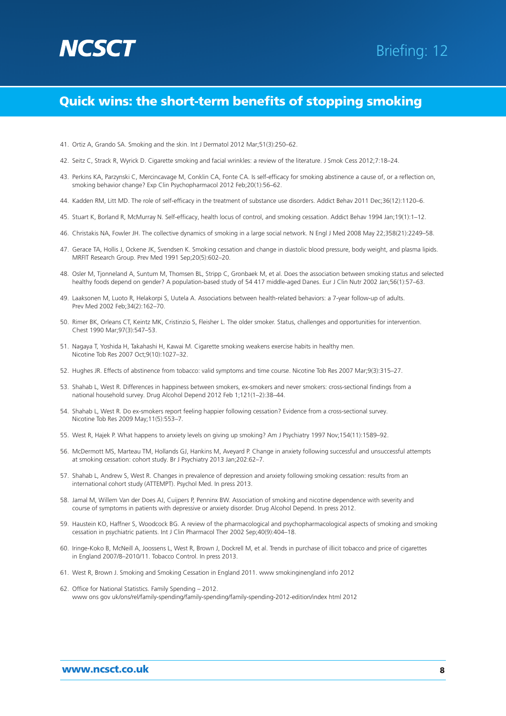

- 41. Ortiz A, Grando SA. Smoking and the skin. Int J Dermatol 2012 Mar;51(3):250–62.
- 42. Seitz C, Strack R, Wyrick D. Cigarette smoking and facial wrinkles: a review of the literature. J Smok Cess 2012;7:18–24.
- 43. Perkins KA, Parzynski C, Mercincavage M, Conklin CA, Fonte CA. Is self-efficacy for smoking abstinence a cause of, or a reflection on, smoking behavior change? Exp Clin Psychopharmacol 2012 Feb;20(1):56–62.
- 44. Kadden RM, Litt MD. The role of self-efficacy in the treatment of substance use disorders. Addict Behav 2011 Dec;36(12):1120–6.
- 45. Stuart K, Borland R, McMurray N. Self-efficacy, health locus of control, and smoking cessation. Addict Behav 1994 Jan;19(1):1–12.
- 46. Christakis NA, Fowler JH. The collective dynamics of smoking in a large social network. N Engl J Med 2008 May 22;358(21):2249–58.
- 47. Gerace TA, Hollis J, Ockene JK, Svendsen K. Smoking cessation and change in diastolic blood pressure, body weight, and plasma lipids. MRFIT Research Group. Prev Med 1991 Sep;20(5):602–20.
- 48. Osler M, Tjonneland A, Suntum M, Thomsen BL, Stripp C, Gronbaek M, et al. Does the association between smoking status and selected healthy foods depend on gender? A population-based study of 54 417 middle-aged Danes. Eur J Clin Nutr 2002 Jan;56(1):57–63.
- 49. Laaksonen M, Luoto R, Helakorpi S, Uutela A. Associations between health-related behaviors: a 7-year follow-up of adults. Prev Med 2002 Feb;34(2):162–70.
- 50. Rimer BK, Orleans CT, Keintz MK, Cristinzio S, Fleisher L. The older smoker. Status, challenges and opportunities for intervention. Chest 1990 Mar;97(3):547–53.
- 51. Nagaya T, Yoshida H, Takahashi H, Kawai M. Cigarette smoking weakens exercise habits in healthy men. Nicotine Tob Res 2007 Oct;9(10):1027–32.
- 52. Hughes JR. Effects of abstinence from tobacco: valid symptoms and time course. Nicotine Tob Res 2007 Mar;9(3):315–27.
- 53. Shahab L, West R. Differences in happiness between smokers, ex-smokers and never smokers: cross-sectional findings from a national household survey. Drug Alcohol Depend 2012 Feb 1;121(1–2):38–44.
- 54. Shahab L, West R. Do ex-smokers report feeling happier following cessation? Evidence from a cross-sectional survey. Nicotine Tob Res 2009 May;11(5):553–7.
- 55. West R, Hajek P. What happens to anxiety levels on giving up smoking? Am J Psychiatry 1997 Nov;154(11):1589–92.
- 56. McDermott MS, Marteau TM, Hollands GJ, Hankins M, Aveyard P. Change in anxiety following successful and unsuccessful attempts at smoking cessation: cohort study. Br J Psychiatry 2013 Jan;202:62–7.
- 57. Shahab L, Andrew S, West R. Changes in prevalence of depression and anxiety following smoking cessation: results from an international cohort study (ATTEMPT). Psychol Med. In press 2013.
- 58. Jamal M, Willem Van der Does AJ, Cuijpers P, Penninx BW. Association of smoking and nicotine dependence with severity and course of symptoms in patients with depressive or anxiety disorder. Drug Alcohol Depend. In press 2012.
- 59. Haustein KO, Haffner S, Woodcock BG. A review of the pharmacological and psychopharmacological aspects of smoking and smoking cessation in psychiatric patients. Int J Clin Pharmacol Ther 2002 Sep;40(9):404–18.
- 60. Iringe-Koko B, McNeill A, Joossens L, West R, Brown J, Dockrell M, et al. Trends in purchase of illicit tobacco and price of cigarettes in England 2007/8–2010/11. Tobacco Control. In press 2013.
- 61. West R, Brown J. Smoking and Smoking Cessation in England 2011. www smokinginengland info 2012
- 62. Office for National Statistics. Family Spending 2012. www ons gov uk/ons/rel/family-spending/family-spending/family-spending-2012-edition/index html 2012